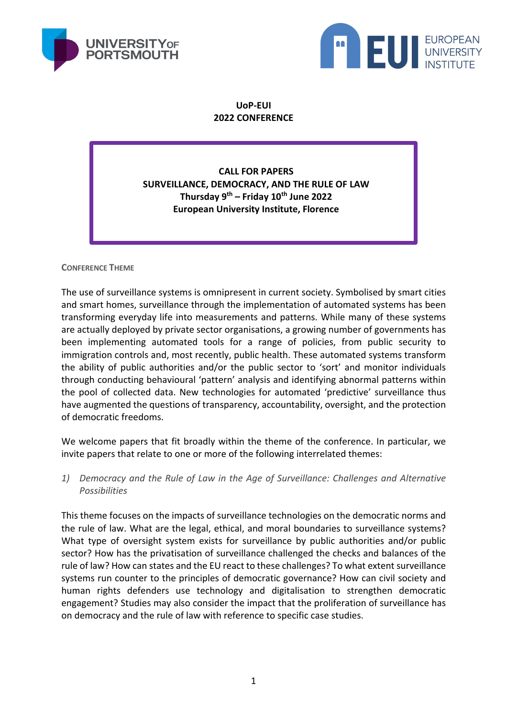



**UoP-EUI 2022 CONFERENCE**

**CALL FOR PAPERS SURVEILLANCE, DEMOCRACY, AND THE RULE OF LAW Thursday 9th – Friday 10th June 2022 European University Institute, Florence**

**CONFERENCE THEME**

The use of surveillance systems is omnipresent in current society. Symbolised by smart cities and smart homes, surveillance through the implementation of automated systems has been transforming everyday life into measurements and patterns. While many of these systems are actually deployed by private sector organisations, a growing number of governments has been implementing automated tools for a range of policies, from public security to immigration controls and, most recently, public health. These automated systems transform the ability of public authorities and/or the public sector to 'sort' and monitor individuals through conducting behavioural 'pattern' analysis and identifying abnormal patterns within the pool of collected data. New technologies for automated 'predictive' surveillance thus have augmented the questions of transparency, accountability, oversight, and the protection of democratic freedoms.

We welcome papers that fit broadly within the theme of the conference. In particular, we invite papers that relate to one or more of the following interrelated themes:

*1) Democracy and the Rule of Law in the Age of Surveillance: Challenges and Alternative Possibilities*

This theme focuses on the impacts of surveillance technologies on the democratic norms and the rule of law. What are the legal, ethical, and moral boundaries to surveillance systems? What type of oversight system exists for surveillance by public authorities and/or public sector? How has the privatisation of surveillance challenged the checks and balances of the rule of law? How can states and the EU react to these challenges? To what extent surveillance systems run counter to the principles of democratic governance? How can civil society and human rights defenders use technology and digitalisation to strengthen democratic engagement? Studies may also consider the impact that the proliferation of surveillance has on democracy and the rule of law with reference to specific case studies.